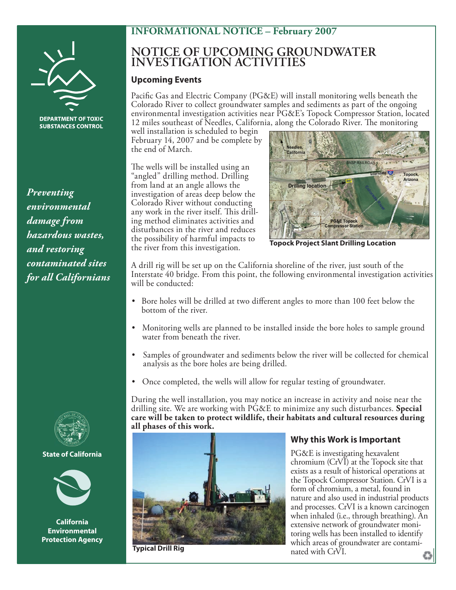# **INFORMATIONAL NOTICE – February 2007**



**SUBSTANCES CONTROL** 

*Preventing environmental damage from hazardous wastes, and restoring contaminated sites for all Californians*



**State of California State of California**



**California Environmental Protection Agency**

# **NOTICE OF UPCOMING GROUNDWATER INVESTIGATION ACTIVITIES**

#### **Upcoming Events**

Pacific Gas and Electric Company (PG&E) will install monitoring wells beneath the Colorado River to collect groundwater samples and sediments as part of the ongoing environmental investigation activities near PG&E's Topock Compressor Station, located 12 miles southeast of Needles, California, along the Colorado River. The monitoring

well installation is scheduled to begin February 14, 2007 and be complete by the end of March.

The wells will be installed using an "angled" drilling method. Drilling from land at an angle allows the investigation of areas deep below the Colorado River without conducting any work in the river itself. This drilling method eliminates activities and disturbances in the river and reduces the possibility of harmful impacts to the river from this investigation.



**Topock Project Slant Drilling Location**

A drill rig will be set up on the California shoreline of the river, just south of the Interstate 40 bridge. From this point, the following environmental investigation activities will be conducted:

- Bore holes will be drilled at two different angles to more than 100 feet below the bottom of the river.
- Monitoring wells are planned to be installed inside the bore holes to sample ground water from beneath the river.
- Samples of groundwater and sediments below the river will be collected for chemical analysis as the bore holes are being drilled.
- Once completed, the wells will allow for regular testing of groundwater.

During the well installation, you may notice an increase in activity and noise near the drilling site. We are working with PG&E to minimize any such disturbances. **Special care will be taken to protect wildlife, their habitats and cultural resources during all phases of this work.** 



**Typical Drill Rig**

## **Why this Work is Important**

PG&E is investigating hexavalent chromium (CrVI) at the Topock site that exists as a result of historical operations at the Topock Compressor Station. CrVI is a form of chromium, a metal, found in nature and also used in industrial products and processes. CrVI is a known carcinogen when inhaled (i.e., through breathing). An extensive network of groundwater monitoring wells has been installed to identify which areas of groundwater are contaminated with CrVI.